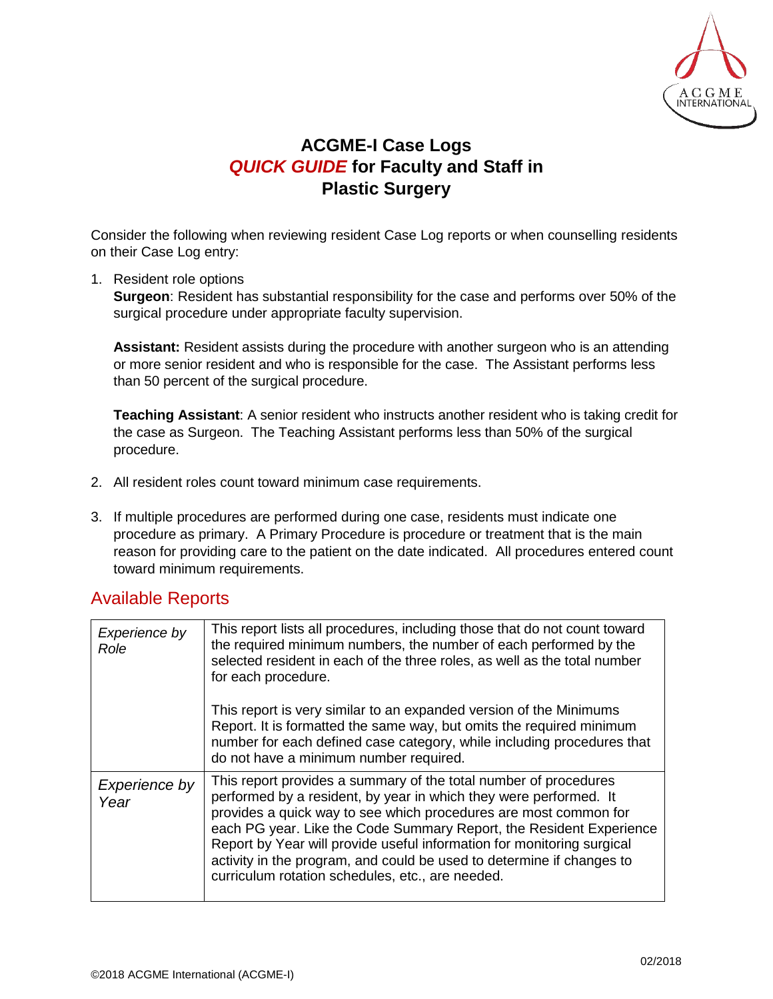

## **ACGME-I Case Logs** *QUICK GUIDE* **for Faculty and Staff in Plastic Surgery**

Consider the following when reviewing resident Case Log reports or when counselling residents on their Case Log entry:

1. Resident role options

**Surgeon**: Resident has substantial responsibility for the case and performs over 50% of the surgical procedure under appropriate faculty supervision.

**Assistant:** Resident assists during the procedure with another surgeon who is an attending or more senior resident and who is responsible for the case. The Assistant performs less than 50 percent of the surgical procedure.

**Teaching Assistant**: A senior resident who instructs another resident who is taking credit for the case as Surgeon. The Teaching Assistant performs less than 50% of the surgical procedure.

- 2. All resident roles count toward minimum case requirements.
- 3. If multiple procedures are performed during one case, residents must indicate one procedure as primary. A Primary Procedure is procedure or treatment that is the main reason for providing care to the patient on the date indicated. All procedures entered count toward minimum requirements.

## Available Reports

| Experience by<br>Role | This report lists all procedures, including those that do not count toward<br>the required minimum numbers, the number of each performed by the<br>selected resident in each of the three roles, as well as the total number<br>for each procedure.<br>This report is very similar to an expanded version of the Minimums                                                                                                                                                               |
|-----------------------|-----------------------------------------------------------------------------------------------------------------------------------------------------------------------------------------------------------------------------------------------------------------------------------------------------------------------------------------------------------------------------------------------------------------------------------------------------------------------------------------|
|                       | Report. It is formatted the same way, but omits the required minimum<br>number for each defined case category, while including procedures that<br>do not have a minimum number required.                                                                                                                                                                                                                                                                                                |
| Experience by<br>Year | This report provides a summary of the total number of procedures<br>performed by a resident, by year in which they were performed. It<br>provides a quick way to see which procedures are most common for<br>each PG year. Like the Code Summary Report, the Resident Experience<br>Report by Year will provide useful information for monitoring surgical<br>activity in the program, and could be used to determine if changes to<br>curriculum rotation schedules, etc., are needed. |